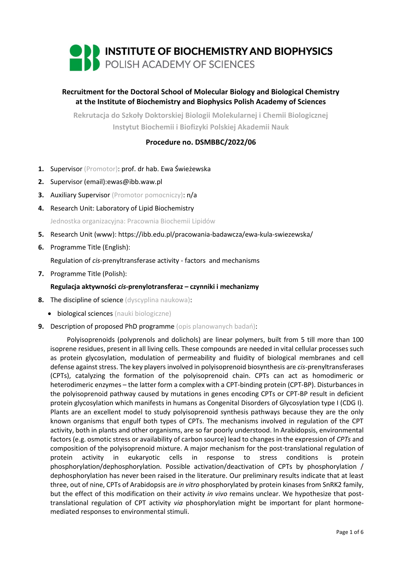

# **Recruitment for the Doctoral School of Molecular Biology and Biological Chemistry at the Institute of Biochemistry and Biophysics Polish Academy of Sciences**

**Rekrutacja do Szkoły Doktorskiej Biologii Molekularnej i Chemii Biologicznej Instytut Biochemii i Biofizyki Polskiej Akademii Nauk**

## **Procedure no. DSMBBC/2022/06**

- **1.** Supervisor (Promotor): prof. dr hab. Ewa Świeżewska
- **2.** Supervisor (email):ewas@ibb.waw.pl
- **3.** Auxiliary Supervisor (Promotor pomocniczy): n/a
- **4.** Research Unit: Laboratory of Lipid Biochemistry Jednostka organizacyjna: Pracownia Biochemii Lipidów
- **5.** Research Unit (www): https://ibb.edu.pl/pracowania-badawcza/ewa-kula-swiezewska/
- **6.** Programme Title (English):

Regulation of *cis*-prenyltransferase activity - factors and mechanisms

**7.** Programme Title (Polish):

### **Regulacja aktywności** *cis***-prenylotransferaz – czynniki i mechanizmy**

- **8.** The discipline of science (dyscyplina naukowa):
	- **•** biological sciences (nauki biologiczne)
- **9.** Description of proposed PhD programme (opis planowanych badań):

Polyisoprenoids (polyprenols and dolichols) are linear polymers, built from 5 till more than 100 isoprene residues, present in all living cells. These compounds are needed in vital cellular processes such as protein glycosylation, modulation of permeability and fluidity of biological membranes and cell defense against stress. The key players involved in polyisoprenoid biosynthesis are *cis*-prenyltransferases (CPTs), catalyzing the formation of the polyisoprenoid chain. CPTs can act as homodimeric or heterodimeric enzymes – the latter form a complex with a CPT-binding protein (CPT-BP). Disturbances in the polyisoprenoid pathway caused by mutations in genes encoding CPTs or CPT-BP result in deficient protein glycosylation which manifests in humans as Congenital Disorders of Glycosylation type I (CDG I). Plants are an excellent model to study polyisoprenoid synthesis pathways because they are the only known organisms that engulf both types of CPTs. The mechanisms involved in regulation of the CPT activity, both in plants and other organisms, are so far poorly understood. In Arabidopsis, environmental factors (e.g. osmotic stress or availability of carbon source) lead to changes in the expression of *CPTs* and composition of the polyisoprenoid mixture. A major mechanism for the post-translational regulation of protein activity in eukaryotic cells in response to stress conditions is protein phosphorylation/dephosphorylation. Possible activation/deactivation of CPTs by phosphorylation / dephosphorylation has never been raised in the literature. Our preliminary results indicate that at least three, out of nine, CPTs of Arabidopsis are *in vitro* phosphorylated by protein kinases from SnRK2 family, but the effect of this modification on their activity *in vivo* remains unclear. We hypothesize that posttranslational regulation of CPT activity *via* phosphorylation might be important for plant hormonemediated responses to environmental stimuli.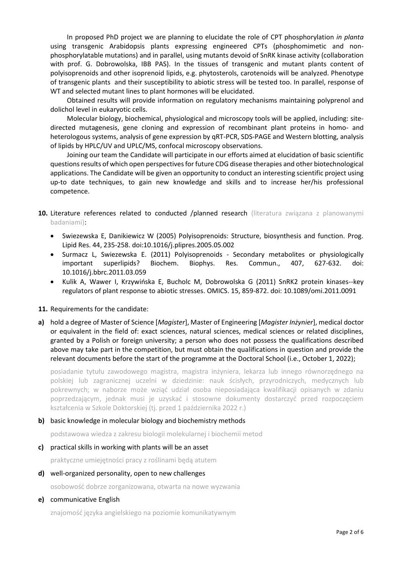In proposed PhD project we are planning to elucidate the role of CPT phosphorylation *in planta* using transgenic Arabidopsis plants expressing engineered CPTs (phosphomimetic and nonphosphorylatable mutations) and in parallel, using mutants devoid of SnRK kinase activity (collaboration with prof. G. Dobrowolska, IBB PAS). In the tissues of transgenic and mutant plants content of polyisoprenoids and other isoprenoid lipids, e.g. phytosterols, carotenoids will be analyzed. Phenotype of transgenic plants and their susceptibility to abiotic stress will be tested too. In parallel, response of WT and selected mutant lines to plant hormones will be elucidated.

Obtained results will provide information on regulatory mechanisms maintaining polyprenol and dolichol level in eukaryotic cells.

Molecular biology, biochemical, physiological and microscopy tools will be applied, including: sitedirected mutagenesis, gene cloning and expression of recombinant plant proteins in homo- and heterologous systems, analysis of gene expression by qRT-PCR, SDS-PAGE and Western blotting, analysis of lipids by HPLC/UV and UPLC/MS, confocal microscopy observations.

Joining our team the Candidate will participate in our efforts aimed at elucidation of basic scientific questions results of which open perspectives for future CDG disease therapies and other biotechnological applications. The Candidate will be given an opportunity to conduct an interesting scientific project using up-to date techniques, to gain new knowledge and skills and to increase her/his professional competence.

- **10.** Literature references related to conducted /planned research (literatura związana z planowanymi badaniami):
	- Swiezewska E, Danikiewicz W (2005) Polyisoprenoids: Structure, biosynthesis and function. Prog. Lipid Res. 44, 235-258. doi:10.1016/j.plipres.2005.05.002
	- Surmacz L, Swiezewska E. (2011) Polyisoprenoids Secondary metabolites or physiologically important superlipids? Biochem. Biophys. Res. Commun., 407, 627-632. doi: 10.1016/j.bbrc.2011.03.059
	- Kulik A, Wawer I, Krzywińska E, Bucholc M, Dobrowolska G (2011) SnRK2 protein kinases--key regulators of plant response to abiotic stresses. OMICS. 15, 859-872. doi: 10.1089/omi.2011.0091

### **11.** Requirements for the candidate:

**a)** hold a degree of Master of Science [*Magister*], Master of Engineering [*Magister Inżynier*], medical doctor or equivalent in the field of: exact sciences, natural sciences, medical sciences or related disciplines, granted by a Polish or foreign university; a person who does not possess the qualifications described above may take part in the competition, but must obtain the qualifications in question and provide the relevant documents before the start of the programme at the Doctoral School (i.e., October 1, 2022);

posiadanie tytułu zawodowego magistra, magistra inżyniera, lekarza lub innego równorzędnego na polskiej lub zagranicznej uczelni w dziedzinie: nauk ścisłych, przyrodniczych, medycznych lub pokrewnych; w naborze może wziąć udział osoba nieposiadająca kwalifikacji opisanych w zdaniu poprzedzającym, jednak musi je uzyskać i stosowne dokumenty dostarczyć przed rozpoczęciem kształcenia w Szkole Doktorskiej (tj. przed 1 października 2022 r.)

### **b)** basic knowledge in molecular biology and biochemistry methods

podstawowa wiedza z zakresu biologii molekularnej i biochemii metod

**c)** practical skills in working with plants will be an asset

praktyczne umiejętności pracy z roślinami będą atutem

**d)** well-organized personality, open to new challenges

osobowość dobrze zorganizowana, otwarta na nowe wyzwania

**e)** communicative English

znajomość języka angielskiego na poziomie komunikatywnym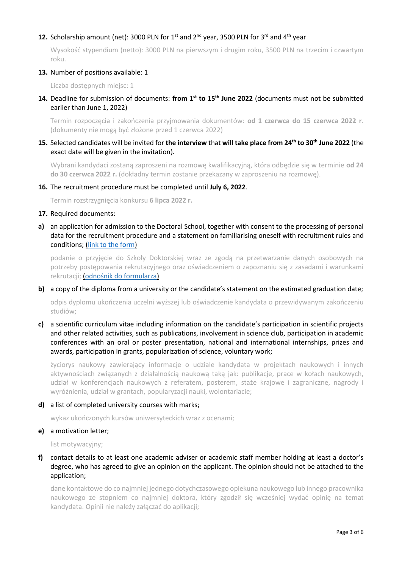## 12. Scholarship amount (net): 3000 PLN for 1<sup>st</sup> and 2<sup>nd</sup> year, 3500 PLN for 3<sup>rd</sup> and 4<sup>th</sup> year

Wysokość stypendium (netto): 3000 PLN na pierwszym i drugim roku, 3500 PLN na trzecim i czwartym roku.

### **13.** Number of positions available: 1

Liczba dostępnych miejsc: 1

**14.** Deadline for submission of documents: **from 1st to 15th June 2022** (documents must not be submitted earlier than June 1, 2022)

Termin rozpoczęcia i zakończenia przyjmowania dokumentów: **od 1 czerwca do 15 czerwca 2022 r**. (dokumenty nie mogą być złożone przed 1 czerwca 2022)

**15.** Selected candidates will be invited for **the interview** that **will take place from 24th to 30th June 2022** (the exact date will be given in the invitation).

Wybrani kandydaci zostaną zaproszeni na rozmowę kwalifikacyjną, która odbędzie się w terminie **od 24 do 30 czerwca 2022 r.** (dokładny termin zostanie przekazany w zaproszeniu na rozmowę).

#### **16.** The recruitment procedure must be completed until **July 6, 2022**.

Termin rozstrzygnięcia konkursu **6 lipca 2022 r.**

#### **17.** Required documents:

**a)** an application for admission to the Doctoral School, together with consent to the processing of personal data for the recruitment procedure and a statement on familiarising oneself with recruitment rules and conditions; [\(link to the form\)](https://ibb.edu.pl/app/uploads/2022/05/application-form_doctoralschool_ibb-pas.docx)

podanie o przyjęcie do Szkoły Doktorskiej wraz ze zgodą na przetwarzanie danych osobowych na potrzeby postępowania rekrutacyjnego oraz oświadczeniem o zapoznaniu się z zasadami i warunkami rekrutacji; ([odnośnik do formularza](https://ibb.edu.pl/app/uploads/2022/05/application-form_doctoralschool_ibb-pas.docx))

**b)** a copy of the diploma from a university or the candidate's statement on the estimated graduation date;

odpis dyplomu ukończenia uczelni wyższej lub oświadczenie kandydata o przewidywanym zakończeniu studiów;

**c)** a scientific curriculum vitae including information on the candidate's participation in scientific projects and other related activities, such as publications, involvement in science club, participation in academic conferences with an oral or poster presentation, national and international internships, prizes and awards, participation in grants, popularization of science, voluntary work;

życiorys naukowy zawierający informacje o udziale kandydata w projektach naukowych i innych aktywnościach związanych z działalnością naukową taką jak: publikacje, prace w kołach naukowych, udział w konferencjach naukowych z referatem, posterem, staże krajowe i zagraniczne, nagrody i wyróżnienia, udział w grantach, popularyzacji nauki, wolontariacie;

**d)** a list of completed university courses with marks;

wykaz ukończonych kursów uniwersyteckich wraz z ocenami;

**e)** a motivation letter;

list motywacyjny;

**f)** contact details to at least one academic adviser or academic staff member holding at least a doctor's degree, who has agreed to give an opinion on the applicant. The opinion should not be attached to the application;

dane kontaktowe do co najmniej jednego dotychczasowego opiekuna naukowego lub innego pracownika naukowego ze stopniem co najmniej doktora, który zgodził się wcześniej wydać opinię na temat kandydata. Opinii nie należy załączać do aplikacji;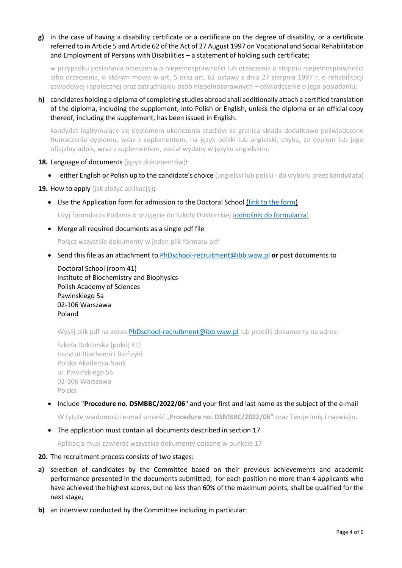**g)** in the case of having a disability certificate or a certificate on the degree of disability, or a certificate referred to in Article 5 and Article 62 of the Act of 27 August 1997 on Vocational and Social Rehabilitation and Employment of Persons with Disabilities – a statement of holding such certificate;

w przypadku posiadania orzeczenia o niepełnosprawności lub orzeczenia o stopniu niepełnosprawności albo orzeczenia, o którym mowa w art. 5 oraz art. 62 ustawy z dnia 27 sierpnia 1997 r. o rehabilitacji zawodowej i społecznej oraz zatrudnianiu osób niepełnosprawnych – oświadczenie o jego posiadaniu;

**h)** candidates holding a diploma of completing studies abroad shall additionally attach a certified translation of the diploma, including the supplement, into Polish or English, unless the diploma or an official copy thereof, including the supplement, has been issued in English.

kandydat legitymujący się dyplomem ukończenia studiów za granicą składa dodatkowo poświadczone tłumaczenie dyplomu, wraz z suplementem, na język polski lub angielski, chyba, że dyplom lub jego oficjalny odpis, wraz z suplementem, został wydany w języku angielskim;

- **18.** Language of documents (język dokumentów):
	- **either English or Polish up to the candidate's choice** (angielski lub polski do wyboru przez kandydata)

**19.** How to apply (jak złożyć aplikację):

Use the Application form for admission to the Doctoral School [\(link to the form\)](https://ibb.edu.pl/app/uploads/2022/05/application-form_doctoralschool_ibb-pas.docx)

Użyj formularza Podania o przyjęcie do Szkoły Doktorskiej ([odnośnik do formularza](https://ibb.edu.pl/app/uploads/2022/05/application-form_doctoralschool_ibb-pas.docx))

Merge all required documents as a single pdf file

Połącz wszystkie dokumenty w jeden plik formatu pdf

Send this file as an attachment to [PhDschool-recruitment@ibb.waw.pl](mailto:PhDschool-recruitment@ibb.waw.pl) **or** post documents to

Doctoral School (room 41) Institute of Biochemistry and Biophysics Polish Academy of Sciences Pawinskiego 5a 02-106 Warszawa Poland

Wyślij plik pdf na adres [PhDschool-recruitment@ibb.waw.pl](mailto:PhDschool-recruitment@ibb.waw.pl) lub prześlij dokumenty na adres:

Szkoła Doktorska (pokój 41) Instytut Biochemii i Biofizyki Polska Akademia Nauk ul. Pawińskiego 5a 02-106 Warszawa Polska

Include "**Procedure no. DSMBBC/2022/06**" and your first and last name as the subject of the e-mail

W tytule wiadomości e-mail umieść "**Procedure no. DSMBBC/2022/06"** oraz Twoje imię i nazwisko.

The application must contain all documents described in section 17

Aplikacja musi zawierać wszystkie dokumenty opisane w punkcie 17

- **20.** The recruitment process consists of two stages:
- **a)** selection of candidates by the Committee based on their previous achievements and academic performance presented in the documents submitted; for each position no more than 4 applicants who have achieved the highest scores, but no less than 60% of the maximum points, shall be qualified for the next stage;
- **b)** an interview conducted by the Committee including in particular: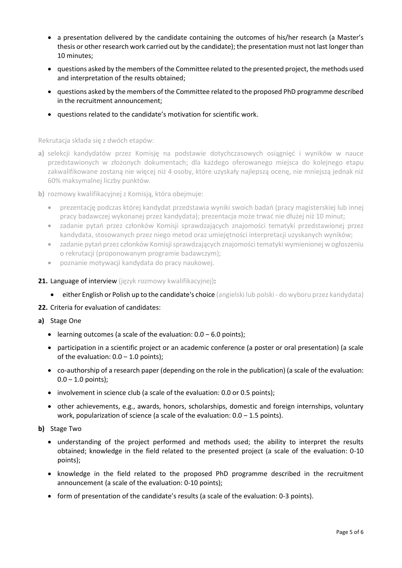- a presentation delivered by the candidate containing the outcomes of his/her research (a Master's thesis or other research work carried out by the candidate); the presentation must not last longer than 10 minutes;
- questions asked by the members of the Committee related to the presented project, the methods used and interpretation of the results obtained;
- questions asked by the members of the Committee related to the proposed PhD programme described in the recruitment announcement;
- questions related to the candidate's motivation for scientific work.

Rekrutacja składa się z dwóch etapów:

- **a)** selekcji kandydatów przez Komisję na podstawie dotychczasowych osiągnięć i wyników w nauce przedstawionych w złożonych dokumentach; dla każdego oferowanego miejsca do kolejnego etapu zakwalifikowane zostaną nie więcej niż 4 osoby, które uzyskały najlepszą ocenę, nie mniejszą jednak niż 60% maksymalnej liczby punktów.
- **b)** rozmowy kwalifikacyjnej z Komisją, która obejmuje:
	- prezentację podczas której kandydat przedstawia wyniki swoich badań (pracy magisterskiej lub innej pracy badawczej wykonanej przez kandydata); prezentacja może trwać nie dłużej niż 10 minut;
	- zadanie pytań przez członków Komisji sprawdzających znajomości tematyki przedstawionej przez kandydata, stosowanych przez niego metod oraz umiejętności interpretacji uzyskanych wyników;
	- zadanie pytań przez członków Komisji sprawdzających znajomości tematyki wymienionej w ogłoszeniu o rekrutacji (proponowanym programie badawczym);
	- poznanie motywacji kandydata do pracy naukowej.
- 21. Language of interview (język rozmowy kwalifikacyjnej):
	- **either English or Polish up to the candidate's choice** (angielski lub polski do wyboru przez kandydata)
- **22.** Criteria for evaluation of candidates:
- **a)** Stage One
	- learning outcomes (a scale of the evaluation:  $0.0 6.0$  points);
	- participation in a scientific project or an academic conference (a poster or oral presentation) (a scale of the evaluation:  $0.0 - 1.0$  points);
	- co-authorship of a research paper (depending on the role in the publication) (a scale of the evaluation:  $0.0 - 1.0$  points);
	- involvement in science club (a scale of the evaluation: 0.0 or 0.5 points);
	- other achievements, e.g., awards, honors, scholarships, domestic and foreign internships, voluntary work, popularization of science (a scale of the evaluation:  $0.0 - 1.5$  points).
- **b)** Stage Two
	- understanding of the project performed and methods used; the ability to interpret the results obtained; knowledge in the field related to the presented project (a scale of the evaluation: 0-10 points);
	- knowledge in the field related to the proposed PhD programme described in the recruitment announcement (a scale of the evaluation: 0-10 points);
	- form of presentation of the candidate's results (a scale of the evaluation: 0-3 points).